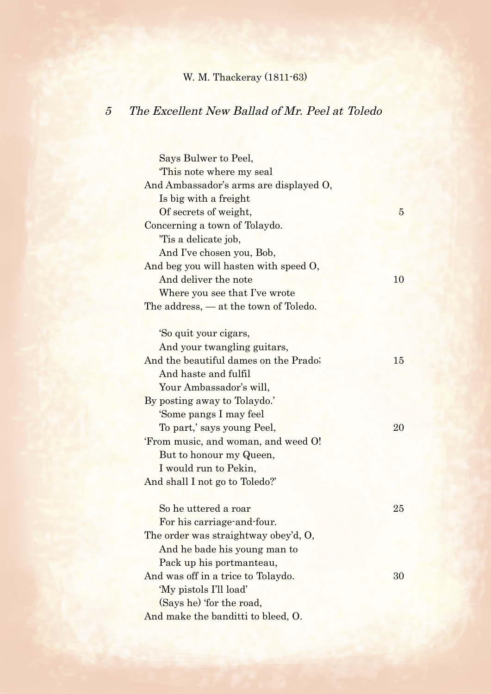## W. M. Thackeray (1811-63)

## 5 The Excellent New Ballad of Mr. Peel at Toledo

 Says Bulwer to Peel, 'This note where my seal And Ambassador's arms are displayed O, Is big with a freight Of secrets of weight, 5 Concerning a town of Tolaydo. 'Tis a delicate job, And I've chosen you, Bob, And beg you will hasten with speed O, And deliver the note 10 Where you see that I've wrote The address, — at the town of Toledo. 'So quit your cigars, And your twangling guitars, And the beautiful dames on the Prado; 15 And haste and fulfil Your Ambassador's will, By posting away to Tolaydo.' 'Some pangs I may feel To part,' says young Peel, 20 'From music, and woman, and weed O! But to honour my Queen, I would run to Pekin, And shall I not go to Toledo?' So he uttered a roar 25 For his carriage-and-four. The order was straightway obey'd, O, And he bade his young man to Pack up his portmanteau,

And was off in a trice to Tolaydo. 30

 (Says he) 'for the road, And make the banditti to bleed, O.

'My pistols I'll load'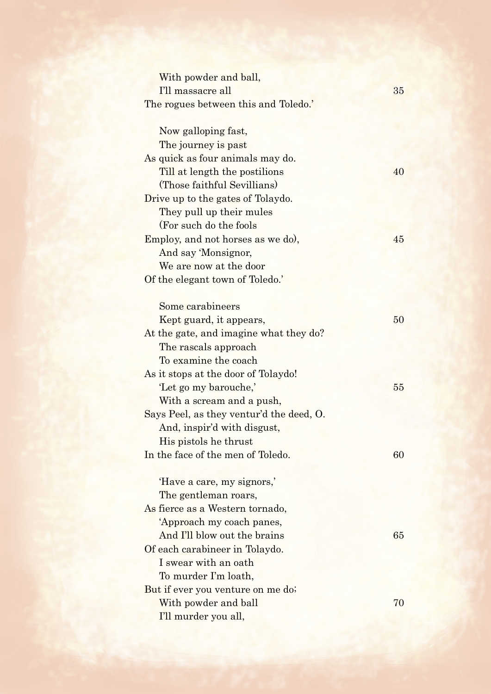| With powder and ball,                    |    |
|------------------------------------------|----|
| I'll massacre all                        | 35 |
| The rogues between this and Toledo.'     |    |
|                                          |    |
| Now galloping fast,                      |    |
| The journey is past                      |    |
| As quick as four animals may do.         |    |
| Till at length the postilions            | 40 |
| (Those faithful Sevillians)              |    |
| Drive up to the gates of Tolaydo.        |    |
| They pull up their mules                 |    |
| (For such do the fools                   |    |
| Employ, and not horses as we do),        | 45 |
| And say Monsignor,                       |    |
| We are now at the door                   |    |
| Of the elegant town of Toledo.'          |    |
|                                          |    |
| Some carabineers                         |    |
| Kept guard, it appears,                  | 50 |
| At the gate, and imagine what they do?   |    |
| The rascals approach                     |    |
| To examine the coach                     |    |
| As it stops at the door of Tolaydo!      |    |
| 'Let go my barouche,'                    | 55 |
| With a scream and a push,                |    |
| Says Peel, as they ventur'd the deed, O. |    |
| And, inspir'd with disgust,              |    |
| His pistols he thrust                    |    |
| In the face of the men of Toledo.        | 60 |
| 'Have a care, my signors,'               |    |
| The gentleman roars,                     |    |
| As fierce as a Western tornado,          |    |
| 'Approach my coach panes,                |    |
| And I'll blow out the brains             | 65 |
| Of each carabineer in Tolaydo.           |    |
| I swear with an oath                     |    |
| To murder I'm loath,                     |    |
| But if ever you venture on me do;        |    |
| With powder and ball                     | 70 |
| I'll murder you all,                     |    |
|                                          |    |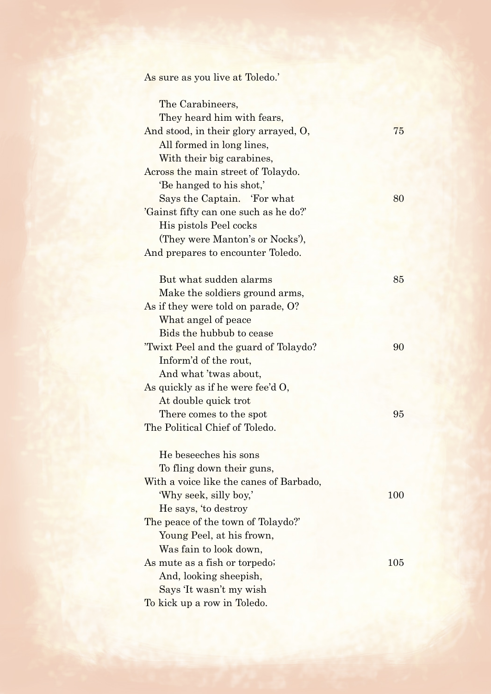As sure as you live at Toledo.'

| The Carabineers,                        |     |
|-----------------------------------------|-----|
| They heard him with fears,              |     |
| And stood, in their glory arrayed, O,   | 75  |
| All formed in long lines,               |     |
| With their big carabines,               |     |
| Across the main street of Tolaydo.      |     |
| 'Be hanged to his shot,'                |     |
| Says the Captain. 'For what             | 80  |
| 'Gainst fifty can one such as he do?'   |     |
| His pistols Peel cocks                  |     |
| (They were Manton's or Nocks'),         |     |
| And prepares to encounter Toledo.       |     |
|                                         |     |
| But what sudden alarms                  | 85  |
| Make the soldiers ground arms,          |     |
| As if they were told on parade, O?      |     |
| What angel of peace                     |     |
| Bids the hubbub to cease                |     |
| Twixt Peel and the guard of Tolaydo?    | 90  |
| Inform'd of the rout,                   |     |
| And what 'twas about,                   |     |
| As quickly as if he were fee'd O,       |     |
| At double quick trot                    |     |
| There comes to the spot                 | 95  |
| The Political Chief of Toledo.          |     |
|                                         |     |
| He beseeches his sons                   |     |
| To fling down their guns,               |     |
| With a voice like the canes of Barbado, |     |
| 'Why seek, silly boy,'                  | 100 |
| He says, 'to destroy                    |     |
| The peace of the town of Tolaydo?       |     |
| Young Peel, at his frown,               |     |
| Was fain to look down,                  |     |
| As mute as a fish or torpedo;           | 105 |
| And, looking sheepish,                  |     |
| Says 'It wasn't my wish                 |     |
| To kick up a row in Toledo.             |     |